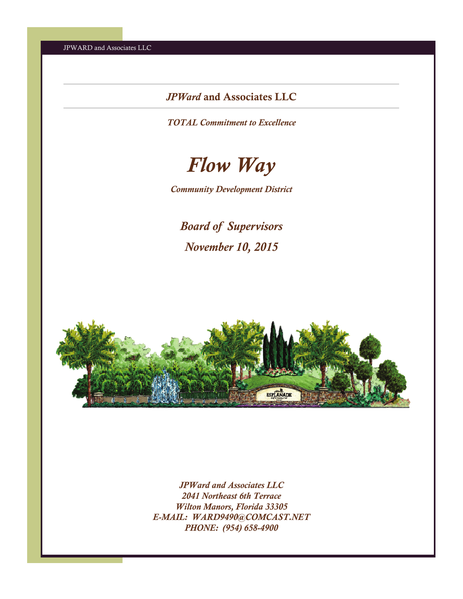# *JPWard* and Associates LLC

*TOTAL Commitment to Excellence* 



*Community Development District* 

*Board of Supervisors November 10, 2015* 



*JPWard and Associates LLC 2041 Northeast 6th Terrace Wilton Manors, Florida 33305 E-MAIL: WARD9490@COMCAST.NET PHONE: (954) 658-4900*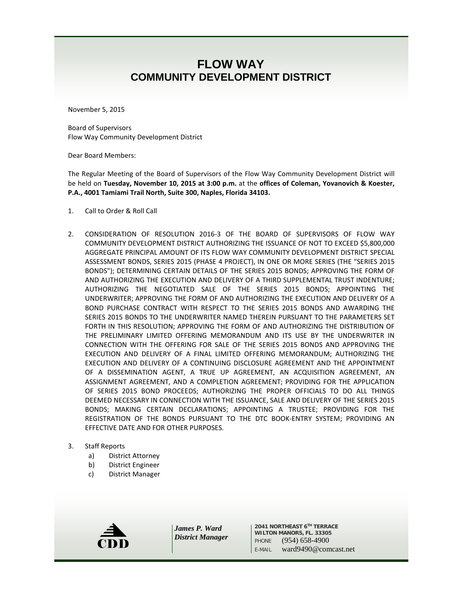# **FLOW WAY COMMUNITY DEVELOPMENT DISTRICT**

November 5, 2015

Board of Supervisors Flow Way Community Development District

Dear Board Members:

The Regular Meeting of the Board of Supervisors of the Flow Way Community Development District will be held on **Tuesday, November 10, 2015 at 3:00 p.m.** at the **offices of Coleman, Yovanovich & Koester, P.A., 4001 Tamiami Trail North, Suite 300, Naples, Florida 34103.**

- 1. Call to Order & Roll Call
- 2. CONSIDERATION OF RESOLUTION 2016-3 OF THE BOARD OF SUPERVISORS OF FLOW WAY COMMUNITY DEVELOPMENT DISTRICT AUTHORIZING THE ISSUANCE OF NOT TO EXCEED \$5,800,000 AGGREGATE PRINCIPAL AMOUNT OF ITS FLOW WAY COMMUNITY DEVELOPMENT DISTRICT SPECIAL ASSESSMENT BONDS, SERIES 2015 (PHASE 4 PROJECT), IN ONE OR MORE SERIES (THE "SERIES 2015 BONDS"); DETERMINING CERTAIN DETAILS OF THE SERIES 2015 BONDS; APPROVING THE FORM OF AND AUTHORIZING THE EXECUTION AND DELIVERY OF A THIRD SUPPLEMENTAL TRUST INDENTURE; AUTHORIZING THE NEGOTIATED SALE OF THE SERIES 2015 BONDS; APPOINTING THE UNDERWRITER; APPROVING THE FORM OF AND AUTHORIZING THE EXECUTION AND DELIVERY OF A BOND PURCHASE CONTRACT WITH RESPECT TO THE SERIES 2015 BONDS AND AWARDING THE SERIES 2015 BONDS TO THE UNDERWRITER NAMED THEREIN PURSUANT TO THE PARAMETERS SET FORTH IN THIS RESOLUTION; APPROVING THE FORM OF AND AUTHORIZING THE DISTRIBUTION OF THE PRELIMINARY LIMITED OFFERING MEMORANDUM AND ITS USE BY THE UNDERWRITER IN CONNECTION WITH THE OFFERING FOR SALE OF THE SERIES 2015 BONDS AND APPROVING THE EXECUTION AND DELIVERY OF A FINAL LIMITED OFFERING MEMORANDUM; AUTHORIZING THE EXECUTION AND DELIVERY OF A CONTINUING DISCLOSURE AGREEMENT AND THE APPOINTMENT OF A DISSEMINATION AGENT, A TRUE UP AGREEMENT, AN ACQUISITION AGREEMENT, AN ASSIGNMENT AGREEMENT, AND A COMPLETION AGREEMENT; PROVIDING FOR THE APPLICATION OF SERIES 2015 BOND PROCEEDS; AUTHORIZING THE PROPER OFFICIALS TO DO ALL THINGS DEEMED NECESSARY IN CONNECTION WITH THE ISSUANCE, SALE AND DELIVERY OF THE SERIES 2015 BONDS; MAKING CERTAIN DECLARATIONS; APPOINTING A TRUSTEE; PROVIDING FOR THE REGISTRATION OF THE BONDS PURSUANT TO THE DTC BOOK-ENTRY SYSTEM; PROVIDING AN EFFECTIVE DATE AND FOR OTHER PURPOSES.
- 3. Staff Reports
	- a) District Attorney
	- b) District Engineer
	- c) District Manager



*James P. Ward District Manager*

**2041 NORTHEAST 6TH TERRACE WILTON MANORS, FL. 33305** PHONE (954) 658-4900<br>E-MAIL ward9490@comcast.net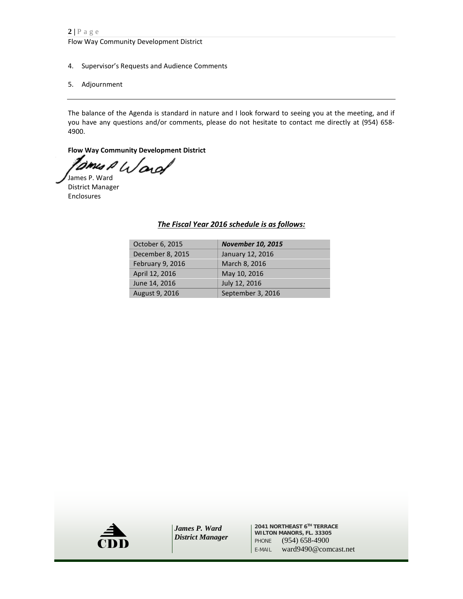Flow Way Community Development District

- 4. Supervisor's Requests and Audience Comments
- 5. Adjournment

The balance of the Agenda is standard in nature and I look forward to seeing you at the meeting, and if you have any questions and/or comments, please do not hesitate to contact me directly at (954) 658- 4900.

**Flow Way Community Development District**

amus P Ward

James P. Ward District Manager Enclosures

#### *The Fiscal Year 2016 schedule is as follows:*

| October 6, 2015  | <b>November 10, 2015</b> |
|------------------|--------------------------|
| December 8, 2015 | January 12, 2016         |
| February 9, 2016 | March 8, 2016            |
| April 12, 2016   | May 10, 2016             |
| June 14, 2016    | July 12, 2016            |
| August 9, 2016   | September 3, 2016        |



**2041 NORTHEAST 6TH TERRACE WILTON MANORS, FL. 33305** PHONE (954) 658-4900<br>E-MAIL ward9490@comcast.net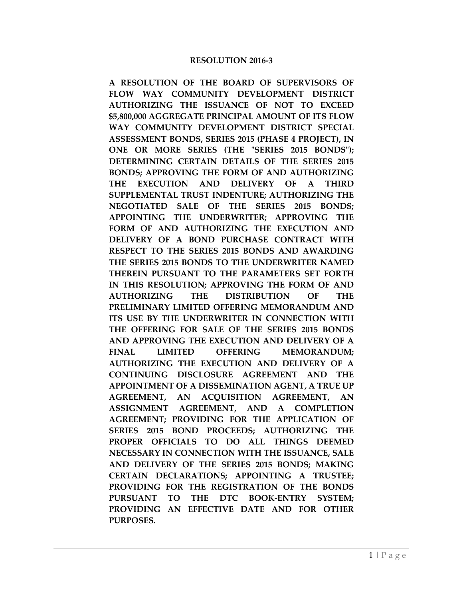#### **RESOLUTION 2016-3**

**A RESOLUTION OF THE BOARD OF SUPERVISORS OF FLOW WAY COMMUNITY DEVELOPMENT DISTRICT AUTHORIZING THE ISSUANCE OF NOT TO EXCEED \$5,800,000 AGGREGATE PRINCIPAL AMOUNT OF ITS FLOW WAY COMMUNITY DEVELOPMENT DISTRICT SPECIAL ASSESSMENT BONDS, SERIES 2015 (PHASE 4 PROJECT), IN ONE OR MORE SERIES (THE "SERIES 2015 BONDS"); DETERMINING CERTAIN DETAILS OF THE SERIES 2015 BONDS; APPROVING THE FORM OF AND AUTHORIZING THE EXECUTION AND DELIVERY OF A THIRD SUPPLEMENTAL TRUST INDENTURE; AUTHORIZING THE NEGOTIATED SALE OF THE SERIES 2015 BONDS; APPOINTING THE UNDERWRITER; APPROVING THE FORM OF AND AUTHORIZING THE EXECUTION AND DELIVERY OF A BOND PURCHASE CONTRACT WITH RESPECT TO THE SERIES 2015 BONDS AND AWARDING THE SERIES 2015 BONDS TO THE UNDERWRITER NAMED THEREIN PURSUANT TO THE PARAMETERS SET FORTH IN THIS RESOLUTION; APPROVING THE FORM OF AND AUTHORIZING THE DISTRIBUTION OF THE PRELIMINARY LIMITED OFFERING MEMORANDUM AND ITS USE BY THE UNDERWRITER IN CONNECTION WITH THE OFFERING FOR SALE OF THE SERIES 2015 BONDS AND APPROVING THE EXECUTION AND DELIVERY OF A**  FINAL LIMITED OFFERING MEMORANDUM: **AUTHORIZING THE EXECUTION AND DELIVERY OF A CONTINUING DISCLOSURE AGREEMENT AND THE APPOINTMENT OF A DISSEMINATION AGENT, A TRUE UP AGREEMENT, AN ACQUISITION AGREEMENT, AN ASSIGNMENT AGREEMENT, AND A COMPLETION AGREEMENT; PROVIDING FOR THE APPLICATION OF SERIES 2015 BOND PROCEEDS; AUTHORIZING THE PROPER OFFICIALS TO DO ALL THINGS DEEMED NECESSARY IN CONNECTION WITH THE ISSUANCE, SALE AND DELIVERY OF THE SERIES 2015 BONDS; MAKING CERTAIN DECLARATIONS; APPOINTING A TRUSTEE; PROVIDING FOR THE REGISTRATION OF THE BONDS PURSUANT TO THE DTC BOOK-ENTRY SYSTEM; PROVIDING AN EFFECTIVE DATE AND FOR OTHER PURPOSES.**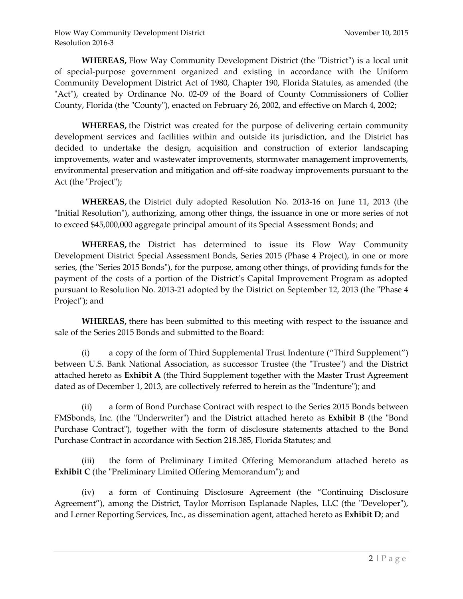**WHEREAS,** Flow Way Community Development District (the "District") is a local unit of special-purpose government organized and existing in accordance with the Uniform Community Development District Act of 1980, Chapter 190, Florida Statutes, as amended (the "Act"), created by Ordinance No. 02-09 of the Board of County Commissioners of Collier County, Florida (the "County"), enacted on February 26, 2002, and effective on March 4, 2002;

**WHEREAS,** the District was created for the purpose of delivering certain community development services and facilities within and outside its jurisdiction, and the District has decided to undertake the design, acquisition and construction of exterior landscaping improvements, water and wastewater improvements, stormwater management improvements, environmental preservation and mitigation and off-site roadway improvements pursuant to the Act (the "Project");

**WHEREAS,** the District duly adopted Resolution No. 2013-16 on June 11, 2013 (the "Initial Resolution"), authorizing, among other things, the issuance in one or more series of not to exceed \$45,000,000 aggregate principal amount of its Special Assessment Bonds; and

**WHEREAS,** the District has determined to issue its Flow Way Community Development District Special Assessment Bonds, Series 2015 (Phase 4 Project), in one or more series, (the "Series 2015 Bonds"), for the purpose, among other things, of providing funds for the payment of the costs of a portion of the District's Capital Improvement Program as adopted pursuant to Resolution No. 2013-21 adopted by the District on September 12, 2013 (the "Phase 4 Project"); and

**WHEREAS,** there has been submitted to this meeting with respect to the issuance and sale of the Series 2015 Bonds and submitted to the Board:

(i) a copy of the form of Third Supplemental Trust Indenture ("Third Supplement") between U.S. Bank National Association, as successor Trustee (the "Trustee") and the District attached hereto as **Exhibit A** (the Third Supplement together with the Master Trust Agreement dated as of December 1, 2013, are collectively referred to herein as the "Indenture"); and

(ii) a form of Bond Purchase Contract with respect to the Series 2015 Bonds between FMSbonds, Inc. (the "Underwriter") and the District attached hereto as **Exhibit B** (the "Bond Purchase Contract"), together with the form of disclosure statements attached to the Bond Purchase Contract in accordance with Section 218.385, Florida Statutes; and

(iii) the form of Preliminary Limited Offering Memorandum attached hereto as **Exhibit C** (the "Preliminary Limited Offering Memorandum"); and

(iv) a form of Continuing Disclosure Agreement (the "Continuing Disclosure Agreement"), among the District, Taylor Morrison Esplanade Naples, LLC (the "Developer"), and Lerner Reporting Services, Inc., as dissemination agent, attached hereto as **Exhibit D**; and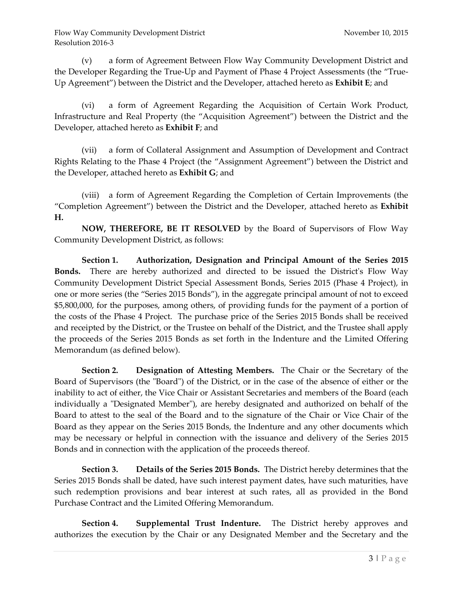(v) a form of Agreement Between Flow Way Community Development District and the Developer Regarding the True-Up and Payment of Phase 4 Project Assessments (the "True-Up Agreement") between the District and the Developer, attached hereto as **Exhibit E**; and

(vi) a form of Agreement Regarding the Acquisition of Certain Work Product, Infrastructure and Real Property (the "Acquisition Agreement") between the District and the Developer, attached hereto as **Exhibit F**; and

(vii) a form of Collateral Assignment and Assumption of Development and Contract Rights Relating to the Phase 4 Project (the "Assignment Agreement") between the District and the Developer, attached hereto as **Exhibit G**; and

(viii) a form of Agreement Regarding the Completion of Certain Improvements (the "Completion Agreement") between the District and the Developer, attached hereto as **Exhibit H.**

**NOW, THEREFORE, BE IT RESOLVED** by the Board of Supervisors of Flow Way Community Development District, as follows:

**Section 1. Authorization, Designation and Principal Amount of the Series 2015 Bonds.** There are hereby authorized and directed to be issued the District's Flow Way Community Development District Special Assessment Bonds, Series 2015 (Phase 4 Project), in one or more series (the "Series 2015 Bonds"), in the aggregate principal amount of not to exceed \$5,800,000, for the purposes, among others, of providing funds for the payment of a portion of the costs of the Phase 4 Project. The purchase price of the Series 2015 Bonds shall be received and receipted by the District, or the Trustee on behalf of the District, and the Trustee shall apply the proceeds of the Series 2015 Bonds as set forth in the Indenture and the Limited Offering Memorandum (as defined below).

**Section 2. Designation of Attesting Members.** The Chair or the Secretary of the Board of Supervisors (the "Board") of the District, or in the case of the absence of either or the inability to act of either, the Vice Chair or Assistant Secretaries and members of the Board (each individually a "Designated Member"), are hereby designated and authorized on behalf of the Board to attest to the seal of the Board and to the signature of the Chair or Vice Chair of the Board as they appear on the Series 2015 Bonds, the Indenture and any other documents which may be necessary or helpful in connection with the issuance and delivery of the Series 2015 Bonds and in connection with the application of the proceeds thereof.

**Section 3. Details of the Series 2015 Bonds.** The District hereby determines that the Series 2015 Bonds shall be dated, have such interest payment dates, have such maturities, have such redemption provisions and bear interest at such rates, all as provided in the Bond Purchase Contract and the Limited Offering Memorandum.

**Section 4. Supplemental Trust Indenture.** The District hereby approves and authorizes the execution by the Chair or any Designated Member and the Secretary and the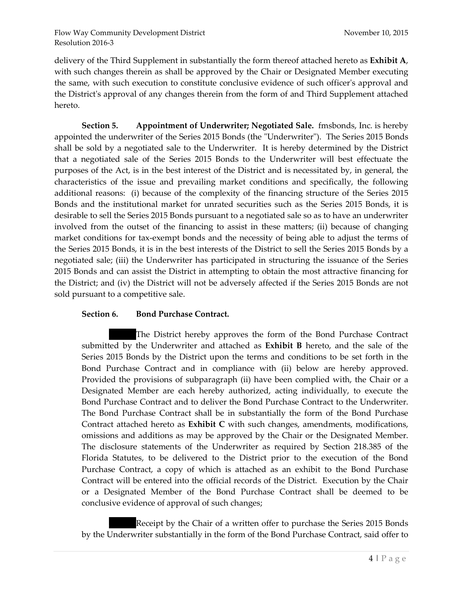delivery of the Third Supplement in substantially the form thereof attached hereto as **Exhibit A**, with such changes therein as shall be approved by the Chair or Designated Member executing the same, with such execution to constitute conclusive evidence of such officer's approval and the District's approval of any changes therein from the form of and Third Supplement attached hereto.

**Section 5. Appointment of Underwriter; Negotiated Sale.** fmsbonds, Inc. is hereby appointed the underwriter of the Series 2015 Bonds (the "Underwriter"). The Series 2015 Bonds shall be sold by a negotiated sale to the Underwriter. It is hereby determined by the District that a negotiated sale of the Series 2015 Bonds to the Underwriter will best effectuate the purposes of the Act, is in the best interest of the District and is necessitated by, in general, the characteristics of the issue and prevailing market conditions and specifically, the following additional reasons: (i) because of the complexity of the financing structure of the Series 2015 Bonds and the institutional market for unrated securities such as the Series 2015 Bonds, it is desirable to sell the Series 2015 Bonds pursuant to a negotiated sale so as to have an underwriter involved from the outset of the financing to assist in these matters; (ii) because of changing market conditions for tax-exempt bonds and the necessity of being able to adjust the terms of the Series 2015 Bonds, it is in the best interests of the District to sell the Series 2015 Bonds by a negotiated sale; (iii) the Underwriter has participated in structuring the issuance of the Series 2015 Bonds and can assist the District in attempting to obtain the most attractive financing for the District; and (iv) the District will not be adversely affected if the Series 2015 Bonds are not sold pursuant to a competitive sale.

#### **Section 6. Bond Purchase Contract.**

The District hereby approves the form of the Bond Purchase Contract submitted by the Underwriter and attached as **Exhibit B** hereto, and the sale of the Series 2015 Bonds by the District upon the terms and conditions to be set forth in the Bond Purchase Contract and in compliance with (ii) below are hereby approved. Provided the provisions of subparagraph (ii) have been complied with, the Chair or a Designated Member are each hereby authorized, acting individually, to execute the Bond Purchase Contract and to deliver the Bond Purchase Contract to the Underwriter. The Bond Purchase Contract shall be in substantially the form of the Bond Purchase Contract attached hereto as **Exhibit C** with such changes, amendments, modifications, omissions and additions as may be approved by the Chair or the Designated Member. The disclosure statements of the Underwriter as required by Section 218.385 of the Florida Statutes, to be delivered to the District prior to the execution of the Bond Purchase Contract, a copy of which is attached as an exhibit to the Bond Purchase Contract will be entered into the official records of the District. Execution by the Chair or a Designated Member of the Bond Purchase Contract shall be deemed to be conclusive evidence of approval of such changes;

Receipt by the Chair of a written offer to purchase the Series 2015 Bonds by the Underwriter substantially in the form of the Bond Purchase Contract, said offer to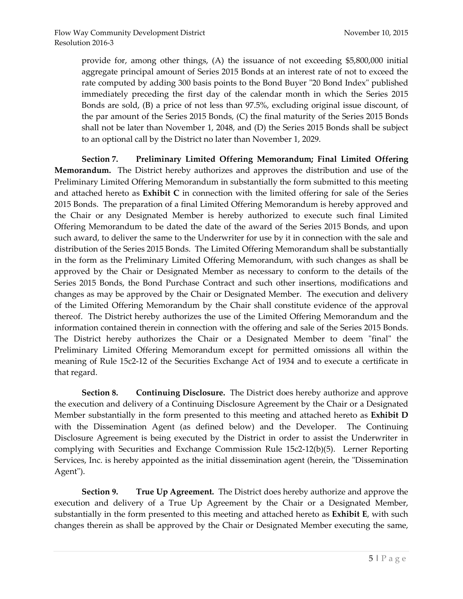provide for, among other things, (A) the issuance of not exceeding \$5,800,000 initial aggregate principal amount of Series 2015 Bonds at an interest rate of not to exceed the rate computed by adding 300 basis points to the Bond Buyer "20 Bond Index" published immediately preceding the first day of the calendar month in which the Series 2015 Bonds are sold, (B) a price of not less than 97.5%, excluding original issue discount, of the par amount of the Series 2015 Bonds, (C) the final maturity of the Series 2015 Bonds shall not be later than November 1, 2048, and (D) the Series 2015 Bonds shall be subject to an optional call by the District no later than November 1, 2029.

**Section 7. Preliminary Limited Offering Memorandum; Final Limited Offering Memorandum.** The District hereby authorizes and approves the distribution and use of the Preliminary Limited Offering Memorandum in substantially the form submitted to this meeting and attached hereto as **Exhibit C** in connection with the limited offering for sale of the Series 2015 Bonds. The preparation of a final Limited Offering Memorandum is hereby approved and the Chair or any Designated Member is hereby authorized to execute such final Limited Offering Memorandum to be dated the date of the award of the Series 2015 Bonds, and upon such award, to deliver the same to the Underwriter for use by it in connection with the sale and distribution of the Series 2015 Bonds. The Limited Offering Memorandum shall be substantially in the form as the Preliminary Limited Offering Memorandum, with such changes as shall be approved by the Chair or Designated Member as necessary to conform to the details of the Series 2015 Bonds, the Bond Purchase Contract and such other insertions, modifications and changes as may be approved by the Chair or Designated Member. The execution and delivery of the Limited Offering Memorandum by the Chair shall constitute evidence of the approval thereof. The District hereby authorizes the use of the Limited Offering Memorandum and the information contained therein in connection with the offering and sale of the Series 2015 Bonds. The District hereby authorizes the Chair or a Designated Member to deem "final" the Preliminary Limited Offering Memorandum except for permitted omissions all within the meaning of Rule 15c2-12 of the Securities Exchange Act of 1934 and to execute a certificate in that regard.

**Section 8. Continuing Disclosure.** The District does hereby authorize and approve the execution and delivery of a Continuing Disclosure Agreement by the Chair or a Designated Member substantially in the form presented to this meeting and attached hereto as **Exhibit D** with the Dissemination Agent (as defined below) and the Developer. The Continuing Disclosure Agreement is being executed by the District in order to assist the Underwriter in complying with Securities and Exchange Commission Rule 15c2-12(b)(5). Lerner Reporting Services, Inc. is hereby appointed as the initial dissemination agent (herein, the "Dissemination Agent").

**Section 9. True Up Agreement.** The District does hereby authorize and approve the execution and delivery of a True Up Agreement by the Chair or a Designated Member, substantially in the form presented to this meeting and attached hereto as **Exhibit E**, with such changes therein as shall be approved by the Chair or Designated Member executing the same,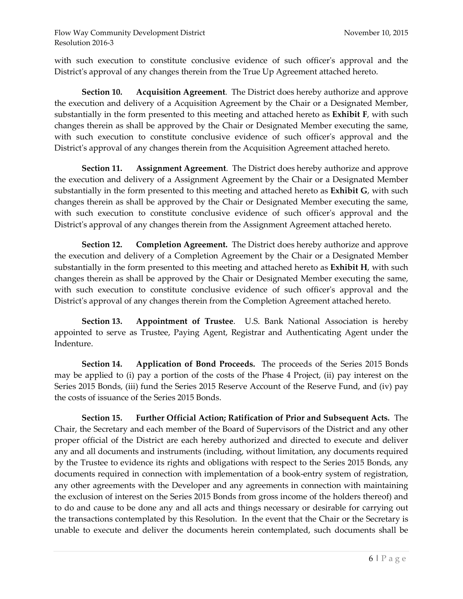with such execution to constitute conclusive evidence of such officer's approval and the District's approval of any changes therein from the True Up Agreement attached hereto.

**Section 10. Acquisition Agreement**. The District does hereby authorize and approve the execution and delivery of a Acquisition Agreement by the Chair or a Designated Member, substantially in the form presented to this meeting and attached hereto as **Exhibit F**, with such changes therein as shall be approved by the Chair or Designated Member executing the same, with such execution to constitute conclusive evidence of such officer's approval and the District's approval of any changes therein from the Acquisition Agreement attached hereto.

**Section 11. Assignment Agreement**. The District does hereby authorize and approve the execution and delivery of a Assignment Agreement by the Chair or a Designated Member substantially in the form presented to this meeting and attached hereto as **Exhibit G**, with such changes therein as shall be approved by the Chair or Designated Member executing the same, with such execution to constitute conclusive evidence of such officer's approval and the District's approval of any changes therein from the Assignment Agreement attached hereto.

**Section 12. Completion Agreement.** The District does hereby authorize and approve the execution and delivery of a Completion Agreement by the Chair or a Designated Member substantially in the form presented to this meeting and attached hereto as **Exhibit H**, with such changes therein as shall be approved by the Chair or Designated Member executing the same, with such execution to constitute conclusive evidence of such officer's approval and the District's approval of any changes therein from the Completion Agreement attached hereto.

**Section 13. Appointment of Trustee**. U.S. Bank National Association is hereby appointed to serve as Trustee, Paying Agent, Registrar and Authenticating Agent under the Indenture.

**Section 14. Application of Bond Proceeds.** The proceeds of the Series 2015 Bonds may be applied to (i) pay a portion of the costs of the Phase 4 Project, (ii) pay interest on the Series 2015 Bonds, (iii) fund the Series 2015 Reserve Account of the Reserve Fund, and (iv) pay the costs of issuance of the Series 2015 Bonds.

**Section 15. Further Official Action; Ratification of Prior and Subsequent Acts.** The Chair, the Secretary and each member of the Board of Supervisors of the District and any other proper official of the District are each hereby authorized and directed to execute and deliver any and all documents and instruments (including, without limitation, any documents required by the Trustee to evidence its rights and obligations with respect to the Series 2015 Bonds, any documents required in connection with implementation of a book-entry system of registration, any other agreements with the Developer and any agreements in connection with maintaining the exclusion of interest on the Series 2015 Bonds from gross income of the holders thereof) and to do and cause to be done any and all acts and things necessary or desirable for carrying out the transactions contemplated by this Resolution. In the event that the Chair or the Secretary is unable to execute and deliver the documents herein contemplated, such documents shall be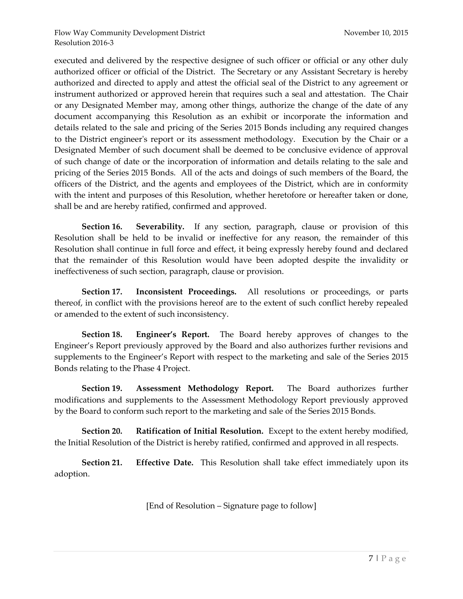executed and delivered by the respective designee of such officer or official or any other duly authorized officer or official of the District. The Secretary or any Assistant Secretary is hereby authorized and directed to apply and attest the official seal of the District to any agreement or instrument authorized or approved herein that requires such a seal and attestation. The Chair or any Designated Member may, among other things, authorize the change of the date of any document accompanying this Resolution as an exhibit or incorporate the information and details related to the sale and pricing of the Series 2015 Bonds including any required changes to the District engineer's report or its assessment methodology. Execution by the Chair or a Designated Member of such document shall be deemed to be conclusive evidence of approval of such change of date or the incorporation of information and details relating to the sale and pricing of the Series 2015 Bonds. All of the acts and doings of such members of the Board, the officers of the District, and the agents and employees of the District, which are in conformity with the intent and purposes of this Resolution, whether heretofore or hereafter taken or done, shall be and are hereby ratified, confirmed and approved.

**Section 16. Severability.** If any section, paragraph, clause or provision of this Resolution shall be held to be invalid or ineffective for any reason, the remainder of this Resolution shall continue in full force and effect, it being expressly hereby found and declared that the remainder of this Resolution would have been adopted despite the invalidity or ineffectiveness of such section, paragraph, clause or provision.

**Section 17. Inconsistent Proceedings.** All resolutions or proceedings, or parts thereof, in conflict with the provisions hereof are to the extent of such conflict hereby repealed or amended to the extent of such inconsistency.

**Section 18. Engineer's Report.** The Board hereby approves of changes to the Engineer's Report previously approved by the Board and also authorizes further revisions and supplements to the Engineer's Report with respect to the marketing and sale of the Series 2015 Bonds relating to the Phase 4 Project.

**Section 19. Assessment Methodology Report.** The Board authorizes further modifications and supplements to the Assessment Methodology Report previously approved by the Board to conform such report to the marketing and sale of the Series 2015 Bonds.

**Section 20. Ratification of Initial Resolution.** Except to the extent hereby modified, the Initial Resolution of the District is hereby ratified, confirmed and approved in all respects.

**Section 21. Effective Date.** This Resolution shall take effect immediately upon its adoption.

[End of Resolution – Signature page to follow]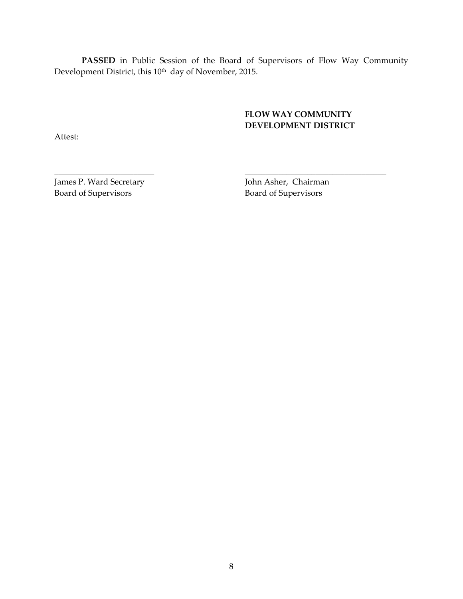**PASSED** in Public Session of the Board of Supervisors of Flow Way Community Development District, this 10<sup>th</sup> day of November, 2015.

\_\_\_\_\_\_\_\_\_\_\_\_\_\_\_\_\_\_\_\_\_\_\_\_ \_\_\_\_\_\_\_\_\_\_\_\_\_\_\_\_\_\_\_\_\_\_\_\_\_\_\_\_\_\_\_\_\_\_

### **FLOW WAY COMMUNITY DEVELOPMENT DISTRICT**

Attest:

James P. Ward Secretary John Asher, Chairman Board of Supervisors Board of Supervisors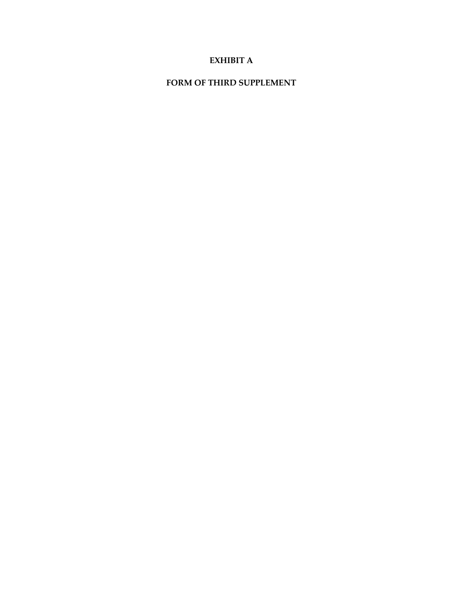### **EXHIBIT A**

### **FORM OF THIRD SUPPLEMENT**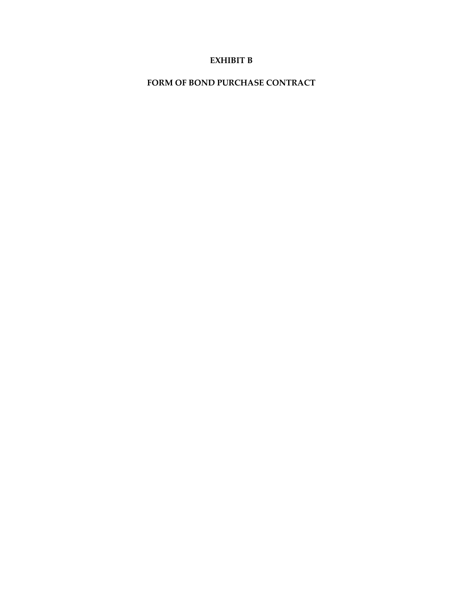### **EXHIBIT B**

**FORM OF BOND PURCHASE CONTRACT**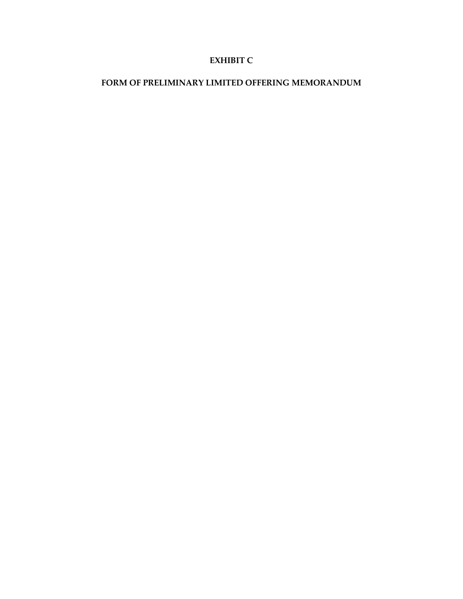### **EXHIBIT C**

#### **FORM OF PRELIMINARY LIMITED OFFERING MEMORANDUM**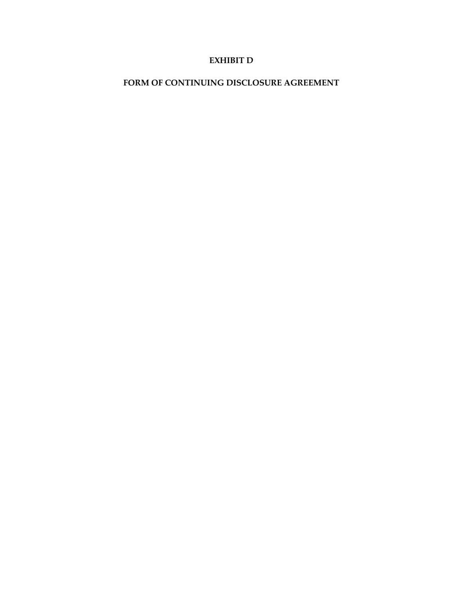### **EXHIBIT D**

### **FORM OF CONTINUING DISCLOSURE AGREEMENT**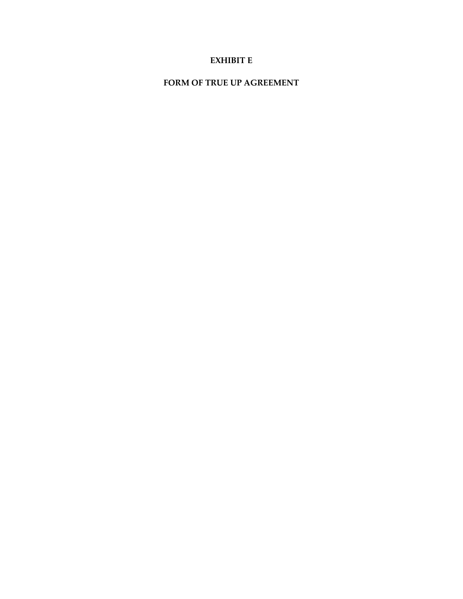### **EXHIBIT E**

#### **FORM OF TRUE UP AGREEMENT**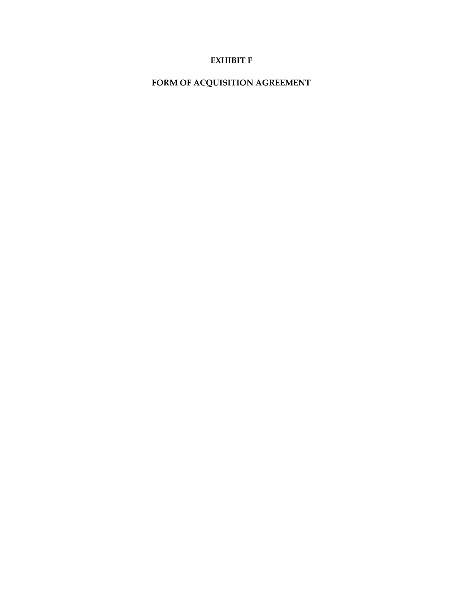### **EXHIBIT F**

# **FORM OF ACQUISITION AGREEMENT**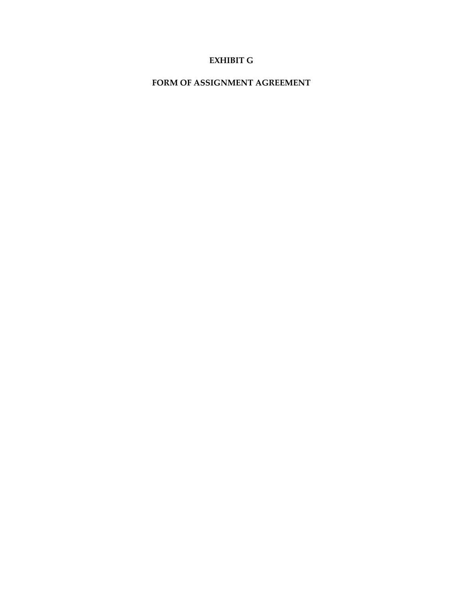### **EXHIBIT G**

#### **FORM OF ASSIGNMENT AGREEMENT**